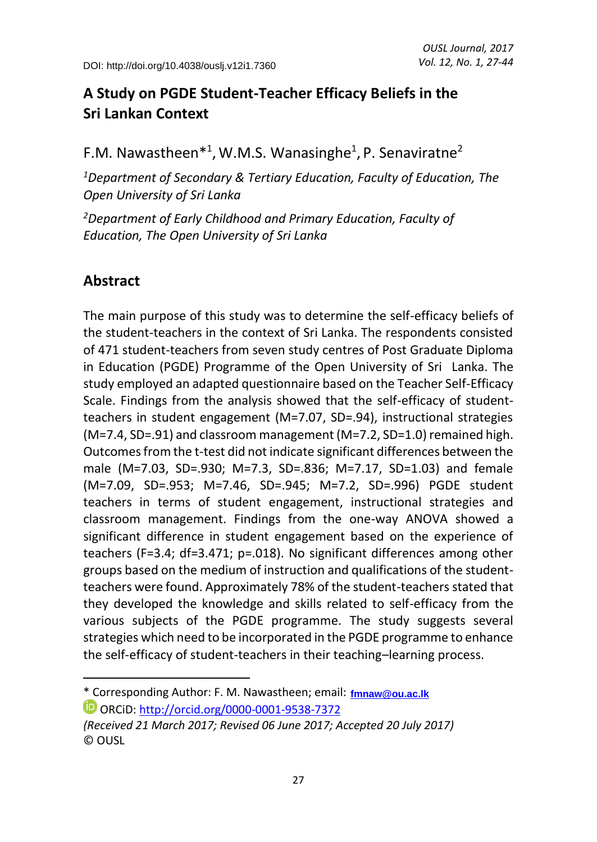# **A Study on PGDE Student-Teacher Efficacy Beliefs in the Sri Lankan Context**

F.M. Nawastheen<sup>\*1</sup>, W.M.S. Wanasinghe<sup>1</sup>, P. Senaviratne<sup>2</sup>

*<sup>1</sup>Department of Secondary & Tertiary Education, Faculty of Education, The Open University of Sri Lanka* 

*<sup>2</sup>Department of Early Childhood and Primary Education, Faculty of Education, The Open University of Sri Lanka* 

### **Abstract**

 $\overline{\phantom{a}}$ 

The main purpose of this study was to determine the self-efficacy beliefs of the student-teachers in the context of Sri Lanka. The respondents consisted of 471 student-teachers from seven study centres of Post Graduate Diploma in Education (PGDE) Programme of the Open University of Sri Lanka. The study employed an adapted questionnaire based on the Teacher Self-Efficacy Scale. Findings from the analysis showed that the self-efficacy of studentteachers in student engagement (M=7.07, SD=.94), instructional strategies (M=7.4, SD=.91) and classroom management (M=7.2, SD=1.0) remained high. Outcomes from the t-test did not indicate significant differences between the male (M=7.03, SD=.930; M=7.3, SD=.836; M=7.17, SD=1.03) and female (M=7.09, SD=.953; M=7.46, SD=.945; M=7.2, SD=.996) PGDE student teachers in terms of student engagement, instructional strategies and classroom management. Findings from the one-way ANOVA showed a significant difference in student engagement based on the experience of teachers (F=3.4; df=3.471; p=.018). No significant differences among other groups based on the medium of instruction and qualifications of the studentteachers were found. Approximately 78% of the student-teachers stated that they developed the knowledge and skills related to self-efficacy from the various subjects of the PGDE programme. The study suggests several strategies which need to be incorporated in the PGDE programme to enhance the self-efficacy of student-teachers in their teaching–learning process.

<sup>\*</sup> Corresponding Author: F. M. Nawastheen; email: **[fmnaw@ou.ac.lk](mailto:fmnav@ou.ac.lk)**

ORCiD:<http://orcid.org/0000-0001-9538-7372>

*<sup>(</sup>Received 21 March 2017; Revised 06 June 2017; Accepted 20 July 2017)*  © OUSL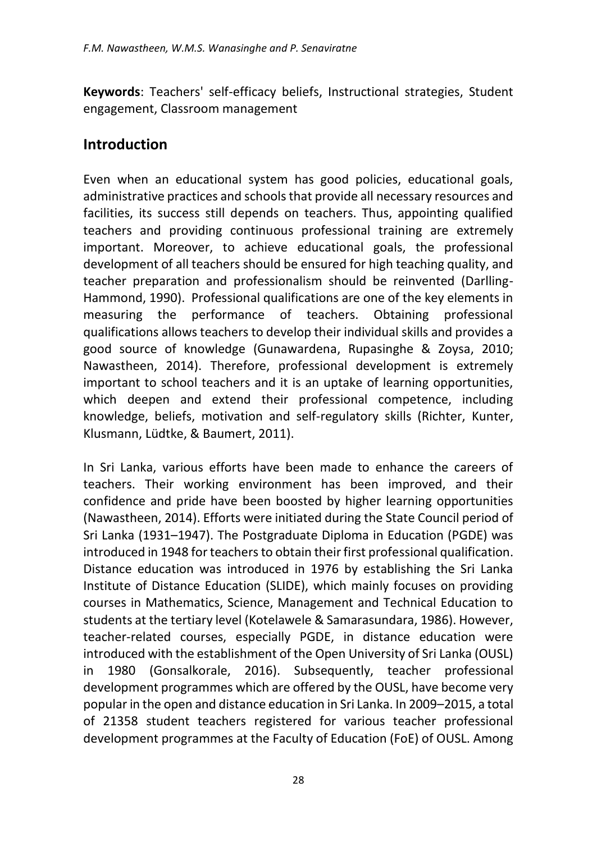**Keywords**: Teachers' self-efficacy beliefs, Instructional strategies, Student engagement, Classroom management

#### **Introduction**

Even when an educational system has good policies, educational goals, administrative practices and schools that provide all necessary resources and facilities, its success still depends on teachers. Thus, appointing qualified teachers and providing continuous professional training are extremely important. Moreover, to achieve educational goals, the professional development of all teachers should be ensured for high teaching quality, and teacher preparation and professionalism should be reinvented (Darlling-Hammond, 1990). Professional qualifications are one of the key elements in measuring the performance of teachers. Obtaining professional qualifications allows teachers to develop their individual skills and provides a good source of knowledge (Gunawardena, Rupasinghe & Zoysa, 2010; Nawastheen, 2014). Therefore, professional development is extremely important to school teachers and it is an uptake of learning opportunities, which deepen and extend their professional competence, including knowledge, beliefs, motivation and self-regulatory skills (Richter, Kunter, Klusmann, Lüdtke, & Baumert, 2011).

In Sri Lanka, various efforts have been made to enhance the careers of teachers. Their working environment has been improved, and their confidence and pride have been boosted by higher learning opportunities (Nawastheen, 2014). Efforts were initiated during the State Council period of Sri Lanka (1931–1947). The Postgraduate Diploma in Education (PGDE) was introduced in 1948 for teachers to obtain their first professional qualification. Distance education was introduced in 1976 by establishing the Sri Lanka Institute of Distance Education (SLIDE), which mainly focuses on providing courses in Mathematics, Science, Management and Technical Education to students at the tertiary level (Kotelawele & Samarasundara, 1986). However, teacher-related courses, especially PGDE, in distance education were introduced with the establishment of the Open University of Sri Lanka (OUSL) in 1980 (Gonsalkorale, 2016). Subsequently, teacher professional development programmes which are offered by the OUSL, have become very popular in the open and distance education in Sri Lanka. In 2009–2015, a total of 21358 student teachers registered for various teacher professional development programmes at the Faculty of Education (FoE) of OUSL. Among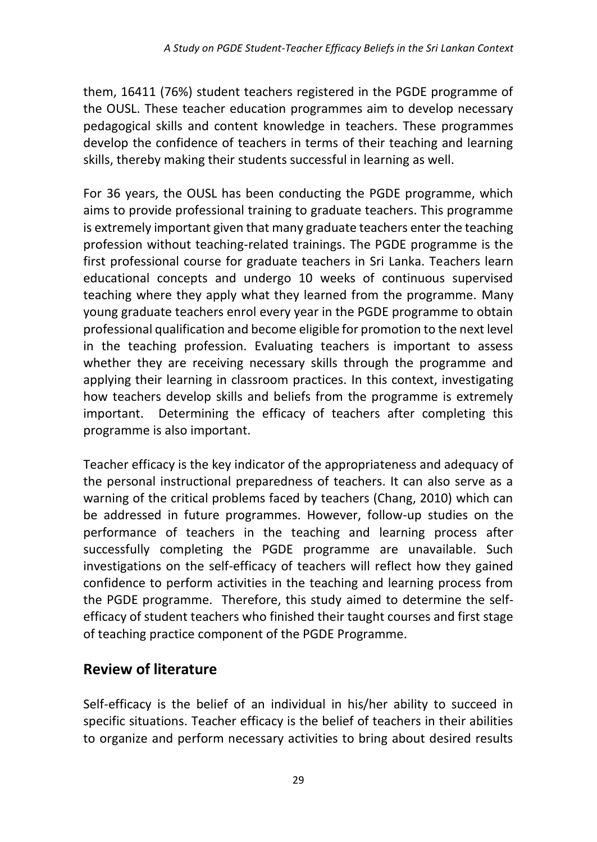them, 16411 (76%) student teachers registered in the PGDE programme of the OUSL. These teacher education programmes aim to develop necessary pedagogical skills and content knowledge in teachers. These programmes develop the confidence of teachers in terms of their teaching and learning skills, thereby making their students successful in learning as well.

For 36 years, the OUSL has been conducting the PGDE programme, which aims to provide professional training to graduate teachers. This programme is extremely important given that many graduate teachers enter the teaching profession without teaching-related trainings. The PGDE programme is the first professional course for graduate teachers in Sri Lanka. Teachers learn educational concepts and undergo 10 weeks of continuous supervised teaching where they apply what they learned from the programme. Many young graduate teachers enrol every year in the PGDE programme to obtain professional qualification and become eligible for promotion to the next level in the teaching profession. Evaluating teachers is important to assess whether they are receiving necessary skills through the programme and applying their learning in classroom practices. In this context, investigating how teachers develop skills and beliefs from the programme is extremely important. Determining the efficacy of teachers after completing this programme is also important.

Teacher efficacy is the key indicator of the appropriateness and adequacy of the personal instructional preparedness of teachers. It can also serve as a warning of the critical problems faced by teachers (Chang, 2010) which can be addressed in future programmes. However, follow-up studies on the performance of teachers in the teaching and learning process after successfully completing the PGDE programme are unavailable. Such investigations on the self-efficacy of teachers will reflect how they gained confidence to perform activities in the teaching and learning process from the PGDE programme. Therefore, this study aimed to determine the selfefficacy of student teachers who finished their taught courses and first stage of teaching practice component of the PGDE Programme.

# **Review of literature**

Self-efficacy is the belief of an individual in his/her ability to succeed in specific situations. Teacher efficacy is the belief of teachers in their abilities to organize and perform necessary activities to bring about desired results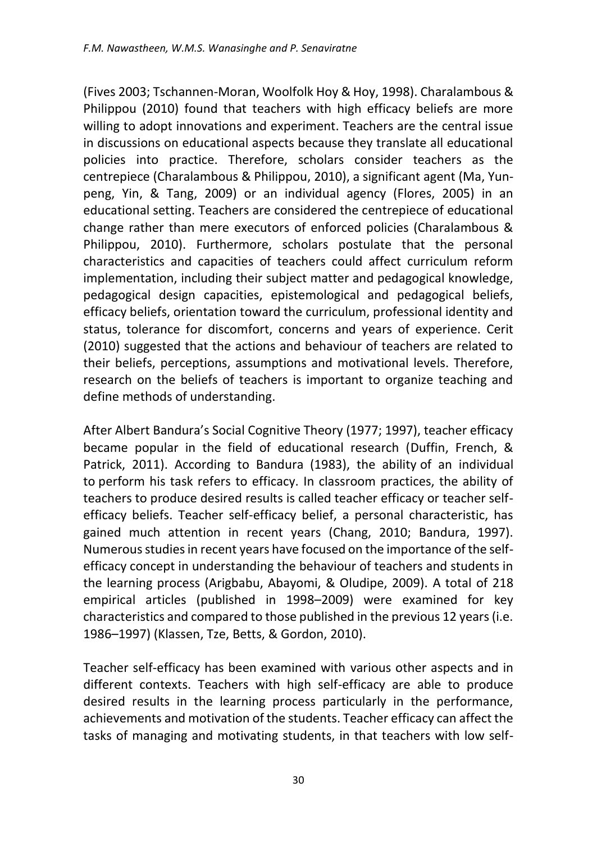(Fives 2003; Tschannen-Moran, Woolfolk Hoy & Hoy, 1998). Charalambous & Philippou (2010) found that teachers with high efficacy beliefs are more willing to adopt innovations and experiment. Teachers are the central issue in discussions on educational aspects because they translate all educational policies into practice. Therefore, scholars consider teachers as the centrepiece (Charalambous & Philippou, 2010), a significant agent (Ma, Yunpeng, Yin, & Tang, 2009) or an individual agency (Flores, 2005) in an educational setting. Teachers are considered the centrepiece of educational change rather than mere executors of enforced policies (Charalambous & Philippou, 2010). Furthermore, scholars postulate that the personal characteristics and capacities of teachers could affect curriculum reform implementation, including their subject matter and pedagogical knowledge, pedagogical design capacities, epistemological and pedagogical beliefs, efficacy beliefs, orientation toward the curriculum, professional identity and status, tolerance for discomfort, concerns and years of experience. Cerit (2010) suggested that the actions and behaviour of teachers are related to their beliefs, perceptions, assumptions and motivational levels. Therefore, research on the beliefs of teachers is important to organize teaching and define methods of understanding.

After Albert Bandura's Social Cognitive Theory (1977; 1997), teacher efficacy became popular in the field of educational research (Duffin, French, & Patrick, 2011). According to Bandura (1983), the ability of an individual to perform his task refers to efficacy. In classroom practices, the ability of teachers to produce desired results is called teacher efficacy or teacher selfefficacy beliefs. Teacher self-efficacy belief, a personal characteristic, has gained much attention in recent years (Chang, 2010; Bandura, 1997). Numerous studies in recent years have focused on the importance of the selfefficacy concept in understanding the behaviour of teachers and students in the learning process (Arigbabu, Abayomi, & Oludipe, 2009). A total of 218 empirical articles (published in 1998–2009) were examined for key characteristics and compared to those published in the previous 12 years (i.e. 1986–1997) (Klassen, Tze, Betts, & Gordon, 2010).

Teacher self-efficacy has been examined with various other aspects and in different contexts. Teachers with high self-efficacy are able to produce desired results in the learning process particularly in the performance, achievements and motivation of the students. Teacher efficacy can affect the tasks of managing and motivating students, in that teachers with low self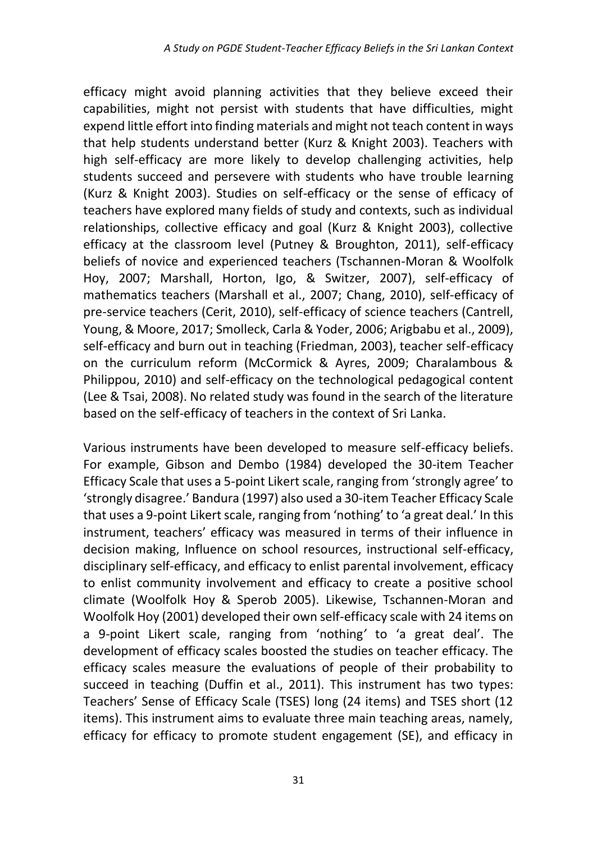efficacy might avoid planning activities that they believe exceed their capabilities, might not persist with students that have difficulties, might expend little effort into finding materials and might not teach content in ways that help students understand better (Kurz & Knight 2003). Teachers with high self-efficacy are more likely to develop challenging activities, help students succeed and persevere with students who have trouble learning (Kurz & Knight 2003). Studies on self-efficacy or the sense of efficacy of teachers have explored many fields of study and contexts, such as individual relationships, collective efficacy and goal (Kurz & Knight 2003), collective efficacy at the classroom level (Putney & Broughton, 2011), self-efficacy beliefs of novice and experienced teachers (Tschannen-Moran & Woolfolk Hoy, 2007; Marshall, Horton, Igo, & Switzer, 2007), self-efficacy of mathematics teachers (Marshall et al., 2007; Chang, 2010), self-efficacy of pre-service teachers (Cerit, 2010), self-efficacy of science teachers (Cantrell, Young, & Moore, 2017; Smolleck, Carla & Yoder, 2006; Arigbabu et al., 2009), self-efficacy and burn out in teaching (Friedman, 2003), teacher self-efficacy on the curriculum reform (McCormick & Ayres, 2009; Charalambous & Philippou, 2010) and self-efficacy on the technological pedagogical content (Lee & Tsai, 2008). No related study was found in the search of the literature based on the self-efficacy of teachers in the context of Sri Lanka.

Various instruments have been developed to measure self-efficacy beliefs. For example, Gibson and Dembo (1984) developed the 30-item Teacher Efficacy Scale that uses a 5-point Likert scale, ranging from 'strongly agree' to 'strongly disagree.' Bandura (1997) also used a 30-item Teacher Efficacy Scale that uses a 9-point Likert scale, ranging from 'nothing' to 'a great deal.' In this instrument, teachers' efficacy was measured in terms of their influence in decision making, Influence on school resources, instructional self-efficacy, disciplinary self-efficacy, and efficacy to enlist parental involvement, efficacy to enlist community involvement and efficacy to create a positive school climate (Woolfolk Hoy & Sperob 2005). Likewise, Tschannen-Moran and Woolfolk Hoy (2001) developed their own self-efficacy scale with 24 items on a 9-point Likert scale, ranging from 'nothing*'* to 'a great deal'. The development of efficacy scales boosted the studies on teacher efficacy. The efficacy scales measure the evaluations of people of their probability to succeed in teaching (Duffin et al., 2011). This instrument has two types: Teachers' Sense of Efficacy Scale (TSES) long (24 items) and TSES short (12 items). This instrument aims to evaluate three main teaching areas, namely, efficacy for efficacy to promote student engagement (SE), and efficacy in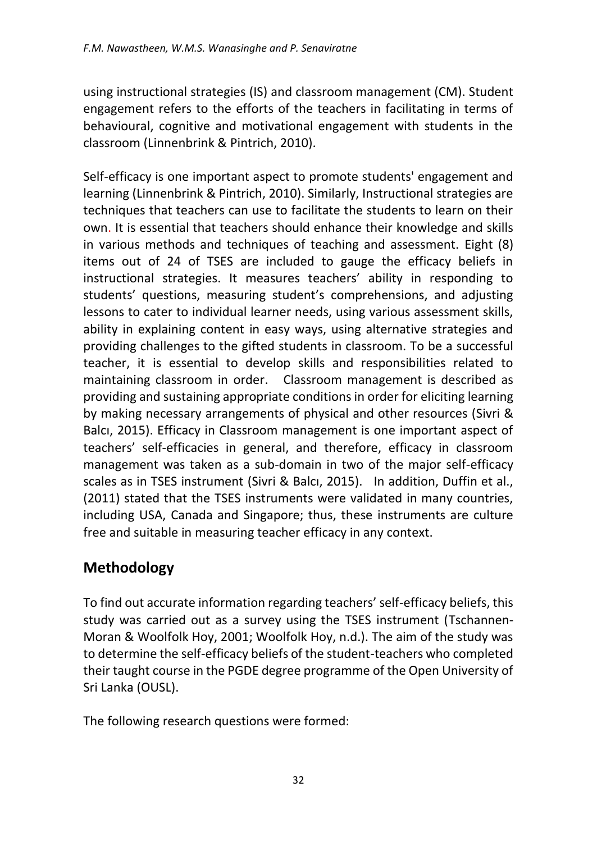using instructional strategies (IS) and classroom management (CM). Student engagement refers to the efforts of the teachers in facilitating in terms of behavioural, cognitive and motivational engagement with students in the classroom (Linnenbrink & Pintrich, 2010).

Self-efficacy is one important aspect to promote students' engagement and learning (Linnenbrink & Pintrich, 2010). Similarly, Instructional strategies are techniques that teachers can use to facilitate the students to learn on their own. It is essential that teachers should enhance their knowledge and skills in various methods and techniques of teaching and assessment. Eight (8) items out of 24 of TSES are included to gauge the efficacy beliefs in instructional strategies. It measures teachers' ability in responding to students' questions, measuring student's comprehensions, and adjusting lessons to cater to individual learner needs, using various assessment skills, ability in explaining content in easy ways, using alternative strategies and providing challenges to the gifted students in classroom. To be a successful teacher, it is essential to develop skills and responsibilities related to maintaining classroom in order. Classroom management is described as providing and sustaining appropriate conditions in order for eliciting learning by making necessary arrangements of physical and other resources (Sivri & Balcı, 2015). Efficacy in Classroom management is one important aspect of teachers' self-efficacies in general, and therefore, efficacy in classroom management was taken as a sub-domain in two of the major self-efficacy scales as in TSES instrument (Sivri & Balcı, 2015). In addition, Duffin et al., (2011) stated that the TSES instruments were validated in many countries, including USA, Canada and Singapore; thus, these instruments are culture free and suitable in measuring teacher efficacy in any context.

# **Methodology**

To find out accurate information regarding teachers' self-efficacy beliefs, this study was carried out as a survey using the TSES instrument (Tschannen-Moran & Woolfolk Hoy, 2001; Woolfolk Hoy, n.d.). The aim of the study was to determine the self-efficacy beliefs of the student-teachers who completed their taught course in the PGDE degree programme of the Open University of Sri Lanka (OUSL).

The following research questions were formed: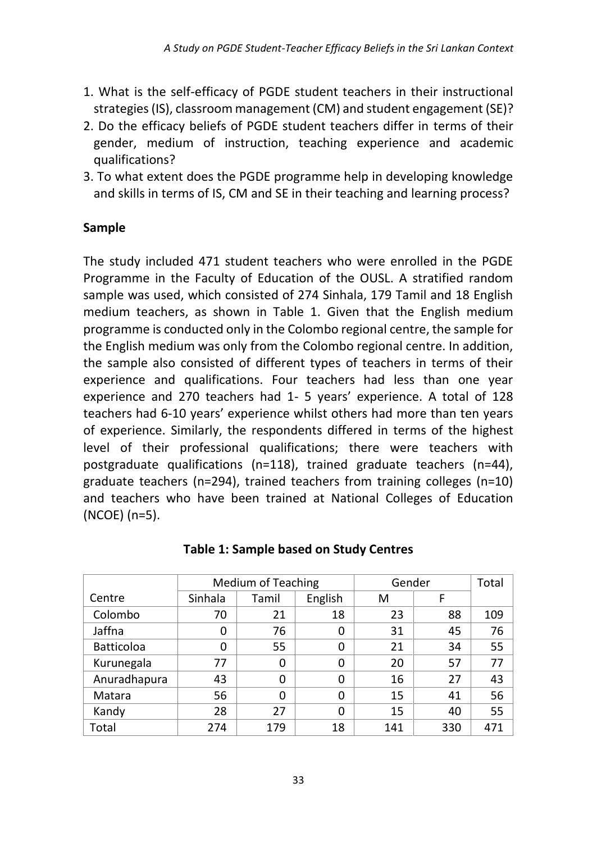- 1. What is the self-efficacy of PGDE student teachers in their instructional strategies (IS), classroom management (CM) and student engagement (SE)?
- 2. Do the efficacy beliefs of PGDE student teachers differ in terms of their gender, medium of instruction, teaching experience and academic qualifications?
- 3. To what extent does the PGDE programme help in developing knowledge and skills in terms of IS, CM and SE in their teaching and learning process?

#### **Sample**

The study included 471 student teachers who were enrolled in the PGDE Programme in the Faculty of Education of the OUSL. A stratified random sample was used, which consisted of 274 Sinhala, 179 Tamil and 18 English medium teachers, as shown in Table 1. Given that the English medium programme is conducted only in the Colombo regional centre, the sample for the English medium was only from the Colombo regional centre. In addition, the sample also consisted of different types of teachers in terms of their experience and qualifications. Four teachers had less than one year experience and 270 teachers had 1- 5 years' experience. A total of 128 teachers had 6-10 years' experience whilst others had more than ten years of experience. Similarly, the respondents differed in terms of the highest level of their professional qualifications; there were teachers with postgraduate qualifications (n=118), trained graduate teachers (n=44), graduate teachers (n=294), trained teachers from training colleges (n=10) and teachers who have been trained at National Colleges of Education (NCOE) (n=5).

|                   | <b>Medium of Teaching</b> |       |          | Gender | Total |     |
|-------------------|---------------------------|-------|----------|--------|-------|-----|
| Centre            | Sinhala                   | Tamil | English  | M      | F     |     |
| Colombo           | 70                        | 21    | 18       | 23     | 88    | 109 |
| Jaffna            | 0                         | 76    | 0        | 31     | 45    | 76  |
| <b>Batticoloa</b> | 0                         | 55    | 0        | 21     | 34    | 55  |
| Kurunegala        | 77                        | 0     | 0        | 20     | 57    | 77  |
| Anuradhapura      | 43                        | 0     | 0        | 16     | 27    | 43  |
| Matara            | 56                        | 0     | 0        | 15     | 41    | 56  |
| Kandy             | 28                        | 27    | $\Omega$ | 15     | 40    | 55  |
| Total             | 274                       | 179   | 18       | 141    | 330   | 471 |

|  |  | <b>Table 1: Sample based on Study Centres</b> |
|--|--|-----------------------------------------------|
|--|--|-----------------------------------------------|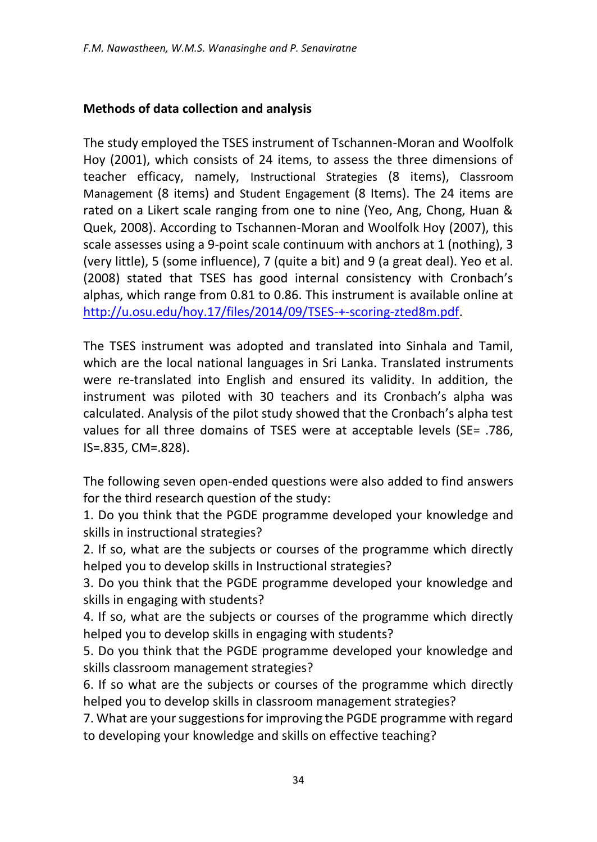#### **Methods of data collection and analysis**

The study employed the TSES instrument of Tschannen-Moran and Woolfolk Hoy (2001), which consists of 24 items, to assess the three dimensions of teacher efficacy, namely, Instructional Strategies (8 items), Classroom Management (8 items) and Student Engagement (8 Items). The 24 items are rated on a Likert scale ranging from one to nine (Yeo, Ang, Chong, Huan & Quek, 2008). According to Tschannen-Moran and Woolfolk Hoy (2007), this scale assesses using a 9-point scale continuum with anchors at 1 (nothing), 3 (very little), 5 (some influence), 7 (quite a bit) and 9 (a great deal). Yeo et al. (2008) stated that TSES has good internal consistency with Cronbach's alphas, which range from 0.81 to 0.86. This instrument is available online at [http://u.osu.edu/hoy.17/files/2014/09/TSES-+-scoring-zted8m.pdf.](http://u.osu.edu/hoy.17/files/2014/09/TSES-+-scoring-zted8m.pdf)

The TSES instrument was adopted and translated into Sinhala and Tamil, which are the local national languages in Sri Lanka. Translated instruments were re-translated into English and ensured its validity. In addition, the instrument was piloted with 30 teachers and its Cronbach's alpha was calculated. Analysis of the pilot study showed that the Cronbach's alpha test values for all three domains of TSES were at acceptable levels (SE= .786, IS=.835, CM=.828).

The following seven open-ended questions were also added to find answers for the third research question of the study:

1. Do you think that the PGDE programme developed your knowledge and skills in instructional strategies?

2. If so, what are the subjects or courses of the programme which directly helped you to develop skills in Instructional strategies?

3. Do you think that the PGDE programme developed your knowledge and skills in engaging with students?

4. If so, what are the subjects or courses of the programme which directly helped you to develop skills in engaging with students?

5. Do you think that the PGDE programme developed your knowledge and skills classroom management strategies?

6. If so what are the subjects or courses of the programme which directly helped you to develop skills in classroom management strategies?

7. What are your suggestions for improving the PGDE programme with regard to developing your knowledge and skills on effective teaching?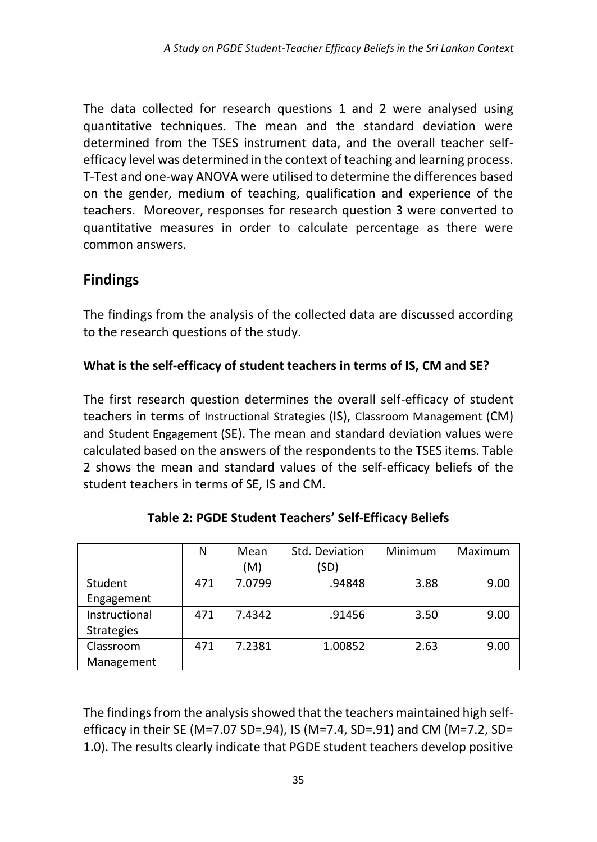The data collected for research questions 1 and 2 were analysed using quantitative techniques. The mean and the standard deviation were determined from the TSES instrument data, and the overall teacher selfefficacy level was determined in the context of teaching and learning process. T-Test and one-way ANOVA were utilised to determine the differences based on the gender, medium of teaching, qualification and experience of the teachers. Moreover, responses for research question 3 were converted to quantitative measures in order to calculate percentage as there were common answers.

### **Findings**

The findings from the analysis of the collected data are discussed according to the research questions of the study.

#### **What is the self-efficacy of student teachers in terms of IS, CM and SE?**

The first research question determines the overall self-efficacy of student teachers in terms of Instructional Strategies (IS), Classroom Management (CM) and Student Engagement (SE). The mean and standard deviation values were calculated based on the answers of the respondents to the TSES items. Table 2 shows the mean and standard values of the self-efficacy beliefs of the student teachers in terms of SE, IS and CM.

|                   | N   | Mean   | Std. Deviation | Minimum | Maximum |  |
|-------------------|-----|--------|----------------|---------|---------|--|
|                   |     | (M)    | (SD)           |         |         |  |
| Student           | 471 | 7.0799 | .94848         | 3.88    | 9.00    |  |
| Engagement        |     |        |                |         |         |  |
| Instructional     | 471 | 7.4342 | .91456         | 3.50    | 9.00    |  |
| <b>Strategies</b> |     |        |                |         |         |  |
| Classroom         | 471 | 7.2381 | 1.00852        | 2.63    | 9.00    |  |
| Management        |     |        |                |         |         |  |

**Table 2: PGDE Student Teachers' Self-Efficacy Beliefs** 

The findings from the analysis showed that the teachers maintained high selfefficacy in their SE (M=7.07 SD=.94), IS (M=7.4, SD=.91) and CM (M=7.2, SD= 1.0). The results clearly indicate that PGDE student teachers develop positive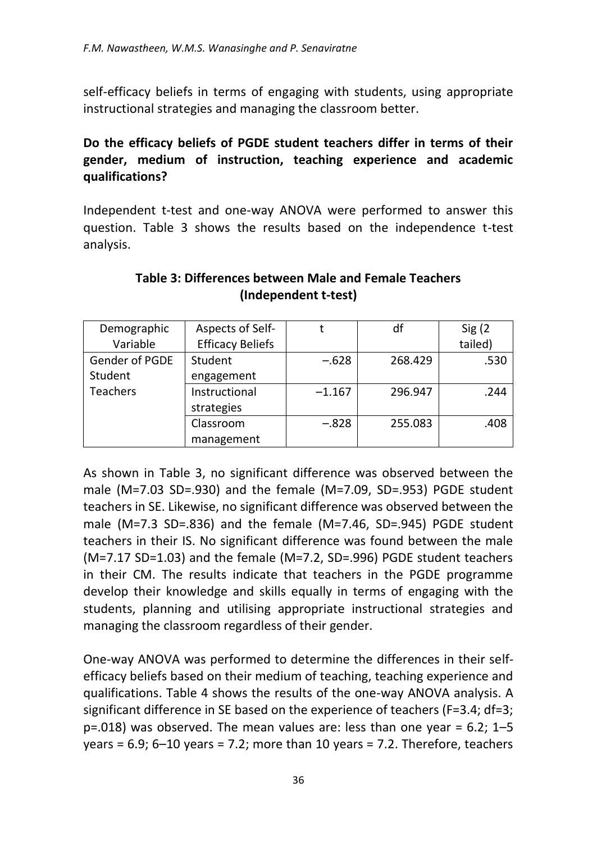self-efficacy beliefs in terms of engaging with students, using appropriate instructional strategies and managing the classroom better.

#### **Do the efficacy beliefs of PGDE student teachers differ in terms of their gender, medium of instruction, teaching experience and academic qualifications?**

Independent t-test and one-way ANOVA were performed to answer this question. Table 3 shows the results based on the independence t-test analysis.

| Demographic     | Aspects of Self-        |          | df      | Sig(2)  |
|-----------------|-------------------------|----------|---------|---------|
| Variable        | <b>Efficacy Beliefs</b> |          |         | tailed) |
| Gender of PGDE  | Student                 | $-.628$  | 268.429 | .530    |
| Student         | engagement              |          |         |         |
| <b>Teachers</b> | Instructional           | $-1.167$ | 296.947 | .244    |
|                 | strategies              |          |         |         |
|                 | Classroom               | $-.828$  | 255.083 | .408    |
|                 | management              |          |         |         |

#### **Table 3: Differences between Male and Female Teachers (Independent t-test)**

As shown in Table 3, no significant difference was observed between the male (M=7.03 SD=.930) and the female (M=7.09, SD=.953) PGDE student teachers in SE. Likewise, no significant difference was observed between the male (M=7.3 SD=.836) and the female (M=7.46, SD=.945) PGDE student teachers in their IS. No significant difference was found between the male (M=7.17 SD=1.03) and the female (M=7.2, SD=.996) PGDE student teachers in their CM. The results indicate that teachers in the PGDE programme develop their knowledge and skills equally in terms of engaging with the students, planning and utilising appropriate instructional strategies and managing the classroom regardless of their gender.

One-way ANOVA was performed to determine the differences in their selfefficacy beliefs based on their medium of teaching, teaching experience and qualifications. Table 4 shows the results of the one-way ANOVA analysis. A significant difference in SE based on the experience of teachers (F=3.4; df=3;  $p=.018$ ) was observed. The mean values are: less than one year = 6.2; 1–5 years =  $6.9$ ;  $6-10$  years =  $7.2$ ; more than 10 years =  $7.2$ . Therefore, teachers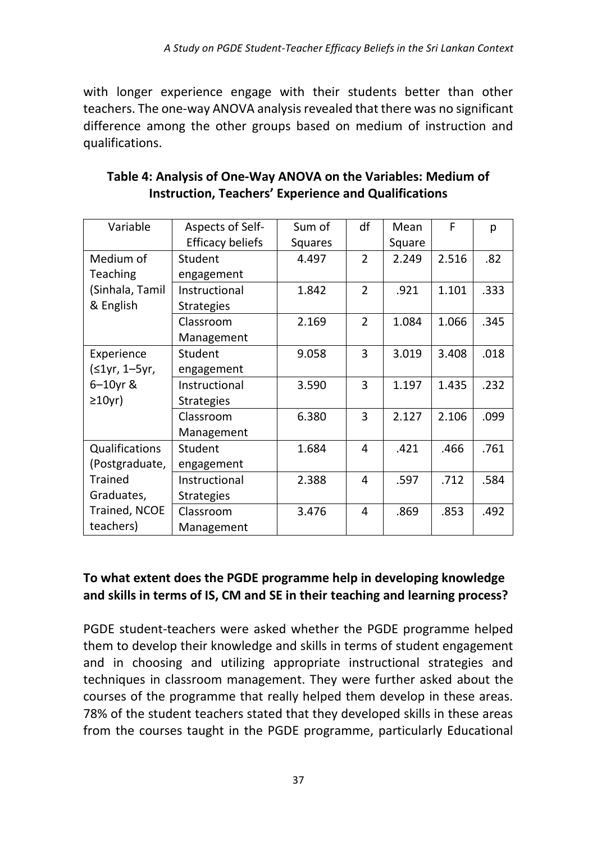with longer experience engage with their students better than other teachers. The one-way ANOVA analysis revealed that there was no significant difference among the other groups based on medium of instruction and qualifications.

| Variable        | Aspects of Self-        | Sum of         | df                       | Mean   | F     | р    |
|-----------------|-------------------------|----------------|--------------------------|--------|-------|------|
|                 | <b>Efficacy beliefs</b> | <b>Squares</b> |                          | Square |       |      |
| Medium of       | Student                 | 4.497          | $\overline{\mathbf{c}}$  | 2.249  | 2.516 | .82  |
| Teaching        | engagement              |                |                          |        |       |      |
| (Sinhala, Tamil | Instructional           | 1.842          | $\overline{2}$           | .921   | 1.101 | .333 |
| & English       | <b>Strategies</b>       |                |                          |        |       |      |
|                 | Classroom               | 2.169          | $\overline{\mathcal{L}}$ | 1.084  | 1.066 | .345 |
|                 | Management              |                |                          |        |       |      |
| Experience      | Student                 | 9.058          | 3                        | 3.019  | 3.408 | .018 |
| (≤1yr, 1-5yr,   | engagement              |                |                          |        |       |      |
| 6-10yr &        | Instructional           | 3.590          | 3                        | 1.197  | 1.435 | .232 |
| $\geq$ 10yr)    | <b>Strategies</b>       |                |                          |        |       |      |
|                 | Classroom               | 6.380          | 3                        | 2.127  | 2.106 | .099 |
|                 | Management              |                |                          |        |       |      |
| Qualifications  | Student                 | 1.684          | 4                        | .421   | .466  | .761 |
| (Postgraduate,  | engagement              |                |                          |        |       |      |
| Trained         | Instructional           | 2.388          | 4                        | .597   | .712  | .584 |
| Graduates,      | <b>Strategies</b>       |                |                          |        |       |      |
| Trained, NCOE   | Classroom               | 3.476          | 4                        | .869   | .853  | .492 |
| teachers)       | Management              |                |                          |        |       |      |

**Table 4: Analysis of One-Way ANOVA on the Variables: Medium of Instruction, Teachers' Experience and Qualifications**

#### **To what extent does the PGDE programme help in developing knowledge and skills in terms of IS, CM and SE in their teaching and learning process?**

PGDE student-teachers were asked whether the PGDE programme helped them to develop their knowledge and skills in terms of student engagement and in choosing and utilizing appropriate instructional strategies and techniques in classroom management. They were further asked about the courses of the programme that really helped them develop in these areas. 78% of the student teachers stated that they developed skills in these areas from the courses taught in the PGDE programme, particularly Educational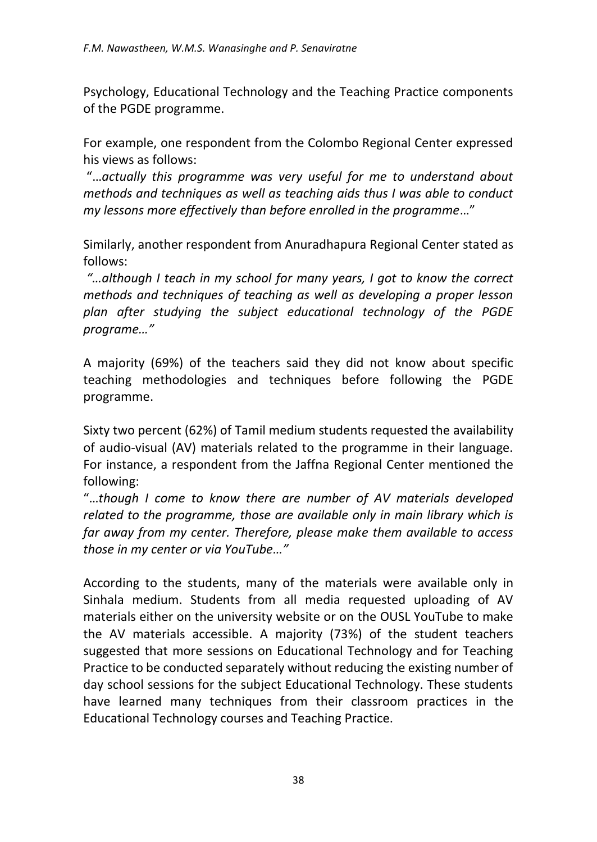Psychology, Educational Technology and the Teaching Practice components of the PGDE programme.

For example, one respondent from the Colombo Regional Center expressed his views as follows:

"…*actually this programme was very useful for me to understand about methods and techniques as well as teaching aids thus I was able to conduct my lessons more effectively than before enrolled in the programme*…"

Similarly, another respondent from Anuradhapura Regional Center stated as follows:

*"…although I teach in my school for many years, I got to know the correct methods and techniques of teaching as well as developing a proper lesson plan after studying the subject educational technology of the PGDE programe…"*

A majority (69%) of the teachers said they did not know about specific teaching methodologies and techniques before following the PGDE programme.

Sixty two percent (62%) of Tamil medium students requested the availability of audio-visual (AV) materials related to the programme in their language. For instance, a respondent from the Jaffna Regional Center mentioned the following:

"…*though I come to know there are number of AV materials developed related to the programme, those are available only in main library which is far away from my center. Therefore, please make them available to access those in my center or via YouTube…"*

According to the students, many of the materials were available only in Sinhala medium. Students from all media requested uploading of AV materials either on the university website or on the OUSL YouTube to make the AV materials accessible. A majority (73%) of the student teachers suggested that more sessions on Educational Technology and for Teaching Practice to be conducted separately without reducing the existing number of day school sessions for the subject Educational Technology. These students have learned many techniques from their classroom practices in the Educational Technology courses and Teaching Practice.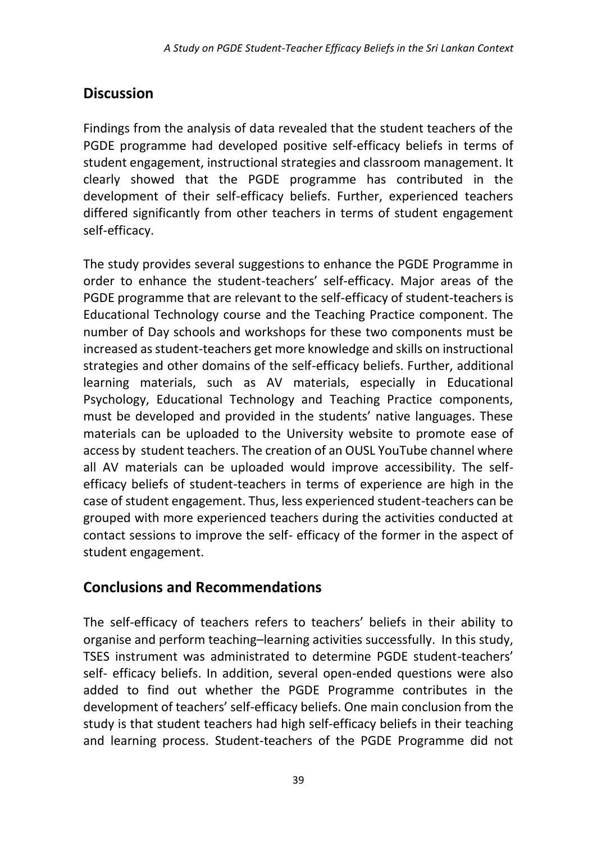# **Discussion**

Findings from the analysis of data revealed that the student teachers of the PGDE programme had developed positive self-efficacy beliefs in terms of student engagement, instructional strategies and classroom management. It clearly showed that the PGDE programme has contributed in the development of their self-efficacy beliefs. Further, experienced teachers differed significantly from other teachers in terms of student engagement self-efficacy.

The study provides several suggestions to enhance the PGDE Programme in order to enhance the student-teachers' self-efficacy. Major areas of the PGDE programme that are relevant to the self-efficacy of student-teachers is Educational Technology course and the Teaching Practice component. The number of Day schools and workshops for these two components must be increased as student-teachers get more knowledge and skills on instructional strategies and other domains of the self-efficacy beliefs. Further, additional learning materials, such as AV materials, especially in Educational Psychology, Educational Technology and Teaching Practice components, must be developed and provided in the students' native languages. These materials can be uploaded to the University website to promote ease of access by student teachers. The creation of an OUSL YouTube channel where all AV materials can be uploaded would improve accessibility. The selfefficacy beliefs of student-teachers in terms of experience are high in the case of student engagement. Thus, less experienced student-teachers can be grouped with more experienced teachers during the activities conducted at contact sessions to improve the self- efficacy of the former in the aspect of student engagement.

# **Conclusions and Recommendations**

The self-efficacy of teachers refers to teachers' beliefs in their ability to organise and perform teaching–learning activities successfully. In this study, TSES instrument was administrated to determine PGDE student-teachers' self- efficacy beliefs. In addition, several open-ended questions were also added to find out whether the PGDE Programme contributes in the development of teachers' self-efficacy beliefs. One main conclusion from the study is that student teachers had high self-efficacy beliefs in their teaching and learning process. Student-teachers of the PGDE Programme did not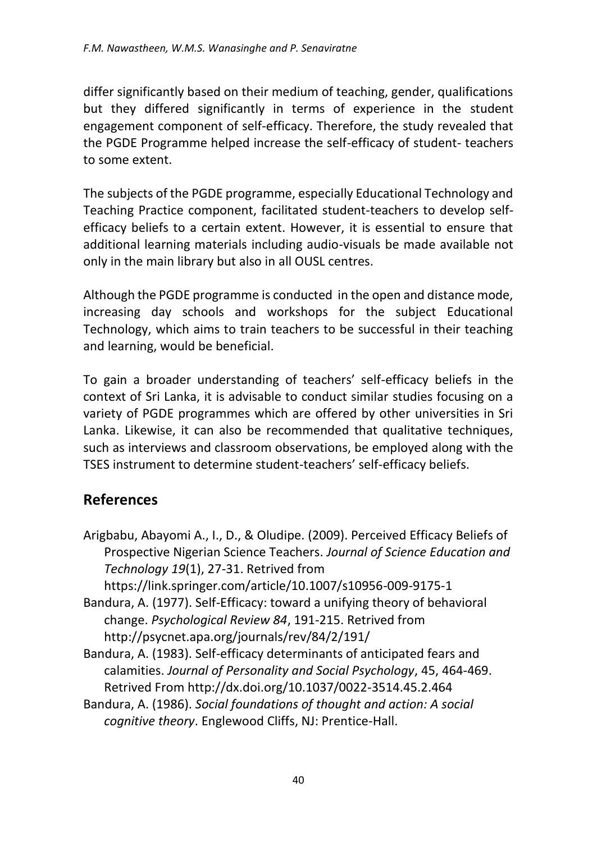differ significantly based on their medium of teaching, gender, qualifications but they differed significantly in terms of experience in the student engagement component of self-efficacy. Therefore, the study revealed that the PGDE Programme helped increase the self-efficacy of student- teachers to some extent.

The subjects of the PGDE programme, especially Educational Technology and Teaching Practice component, facilitated student-teachers to develop selfefficacy beliefs to a certain extent. However, it is essential to ensure that additional learning materials including audio-visuals be made available not only in the main library but also in all OUSL centres.

Although the PGDE programme is conducted in the open and distance mode, increasing day schools and workshops for the subject Educational Technology, which aims to train teachers to be successful in their teaching and learning, would be beneficial.

To gain a broader understanding of teachers' self-efficacy beliefs in the context of Sri Lanka, it is advisable to conduct similar studies focusing on a variety of PGDE programmes which are offered by other universities in Sri Lanka. Likewise, it can also be recommended that qualitative techniques, such as interviews and classroom observations, be employed along with the TSES instrument to determine student-teachers' self-efficacy beliefs.

### **References**

Arigbabu, Abayomi A., I., D., & Oludipe. (2009). Perceived Efficacy Beliefs of Prospective Nigerian Science Teachers. *Journal of Science Education and Technology 19*(1), 27-31. Retrived from

https://link.springer.com/article/10.1007/s10956-009-9175-1

- Bandura, A. (1977). Self-Efficacy: toward a unifying theory of behavioral change. *Psychological Review 84*, 191-215. Retrived from http://psycnet.apa.org/journals/rev/84/2/191/
- Bandura, A. (1983). Self-efficacy determinants of anticipated fears and calamities. *Journal of Personality and Social Psychology*, 45, 464-469. Retrived From http://dx.doi.org/10.1037/0022-3514.45.2.464
- Bandura, A. (1986). *Social foundations of thought and action: A social cognitive theory*. Englewood Cliffs, NJ: Prentice-Hall.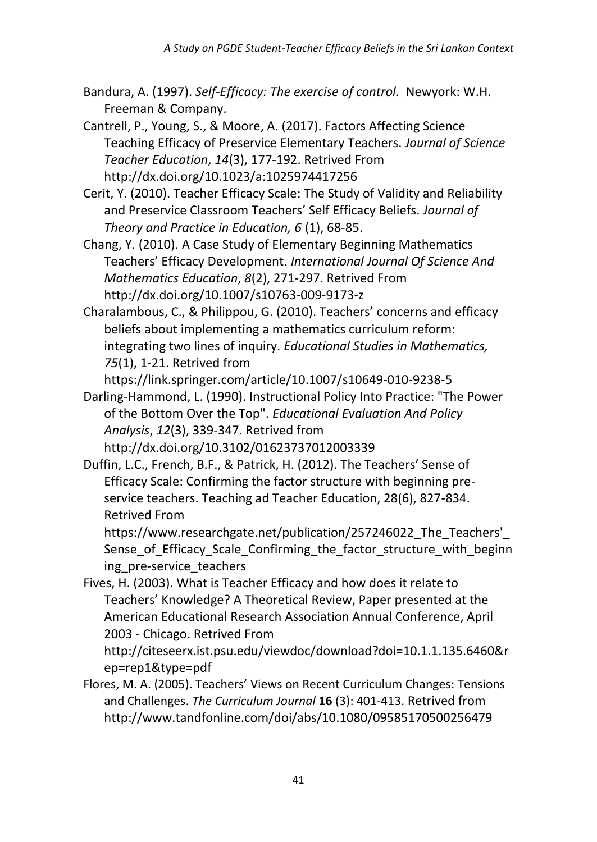- Bandura, A. (1997). *Self-Efficacy: The exercise of control.* Newyork: W.H. Freeman & Company.
- Cantrell, P., Young, S., & Moore, A. (2017). Factors Affecting Science Teaching Efficacy of Preservice Elementary Teachers. *Journal of Science Teacher Education*, *14*(3), 177-192. Retrived From http://dx.doi.org/10.1023/a:1025974417256
- Cerit, Y. (2010). Teacher Efficacy Scale: The Study of Validity and Reliability and Preservice Classroom Teachers' Self Efficacy Beliefs. *Journal of Theory and Practice in Education, 6* (1), 68-85.
- Chang, Y. (2010). A Case Study of Elementary Beginning Mathematics Teachers' Efficacy Development. *International Journal Of Science And Mathematics Education*, *8*(2), 271-297. Retrived From http://dx.doi.org/10.1007/s10763-009-9173-z
- Charalambous, C., & Philippou, G. (2010). Teachers' concerns and efficacy beliefs about implementing a mathematics curriculum reform: integrating two lines of inquiry. *Educational Studies in Mathematics, 75*(1), 1-21. Retrived from

https://link.springer.com/article/10.1007/s10649-010-9238-5

- Darling-Hammond, L. (1990). Instructional Policy Into Practice: "The Power of the Bottom Over the Top". *Educational Evaluation And Policy Analysis*, *12*(3), 339-347. Retrived from http://dx.doi.org/10.3102/01623737012003339
- Duffin, L.C., French, B.F., & Patrick, H. (2012). The Teachers' Sense of Efficacy Scale: Confirming the factor structure with beginning preservice teachers. Teaching ad Teacher Education, 28(6), 827-834. Retrived From

https://www.researchgate.net/publication/257246022\_The\_Teachers'\_ Sense of Efficacy Scale Confirming the factor structure with beginn ing pre-service teachers

Fives, H. (2003). What is Teacher Efficacy and how does it relate to Teachers' Knowledge? A Theoretical Review, Paper presented at the American Educational Research Association Annual Conference, April 2003 - Chicago. Retrived From

http://citeseerx.ist.psu.edu/viewdoc/download?doi=10.1.1.135.6460&r ep=rep1&type=pdf

Flores, M. A. (2005). Teachers' Views on Recent Curriculum Changes: Tensions and Challenges. *The Curriculum Journal* **16** (3): 401-413. Retrived from http://www.tandfonline.com/doi/abs/10.1080/09585170500256479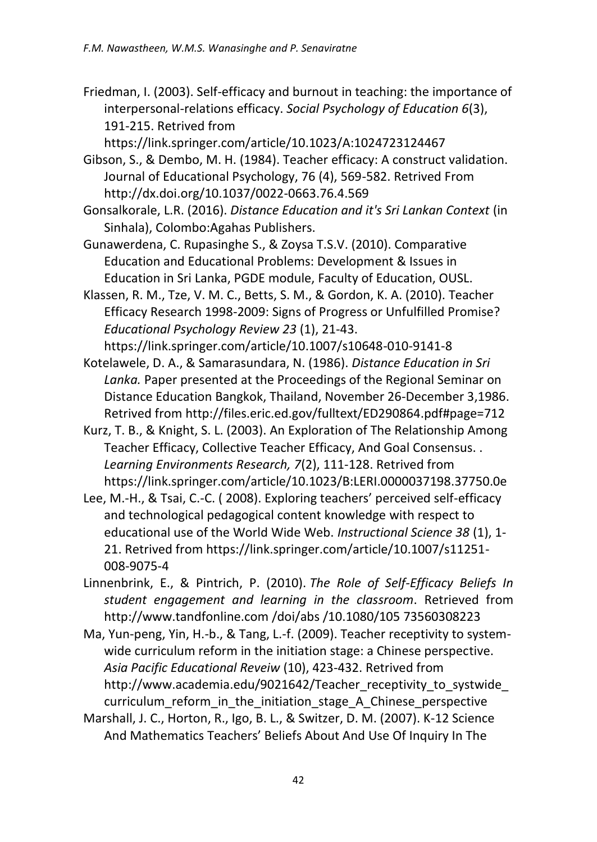Friedman, I. (2003). Self-efficacy and burnout in teaching: the importance of interpersonal-relations efficacy. *Social Psychology of Education 6*(3), 191-215. Retrived from

https://link.springer.com/article/10.1023/A:1024723124467

- Gibson, S., & Dembo, M. H. (1984). Teacher efficacy: A construct validation. Journal of Educational Psychology, 76 (4), 569-582. Retrived From http://dx.doi.org/10.1037/0022-0663.76.4.569
- Gonsalkorale, L.R. (2016). *Distance Education and it's Sri Lankan Context* (in Sinhala), Colombo:Agahas Publishers.
- Gunawerdena, C. Rupasinghe S., & Zoysa T.S.V. (2010). Comparative Education and Educational Problems: Development & Issues in Education in Sri Lanka, PGDE module, Faculty of Education, OUSL.
- Klassen, R. M., Tze, V. M. C., Betts, S. M., & Gordon, K. A. (2010). Teacher Efficacy Research 1998-2009: Signs of Progress or Unfulfilled Promise? *Educational Psychology Review 23* (1), 21-43.

https://link.springer.com/article/10.1007/s10648-010-9141-8

- Kotelawele, D. A., & Samarasundara, N. (1986). *Distance Education in Sri Lanka.* Paper presented at the Proceedings of the Regional Seminar on Distance Education Bangkok, Thailand, November 26-December 3,1986. Retrived from http://files.eric.ed.gov/fulltext/ED290864.pdf#page=712
- Kurz, T. B., & Knight, S. L. (2003). An Exploration of The Relationship Among Teacher Efficacy, Collective Teacher Efficacy, And Goal Consensus. . *Learning Environments Research, 7*(2), 111-128. Retrived from https://link.springer.com/article/10.1023/B:LERI.0000037198.37750.0e
- Lee, M.-H., & Tsai, C.-C. ( 2008). Exploring teachers' perceived self-efficacy and technological pedagogical content knowledge with respect to educational use of the World Wide Web. *Instructional Science 38* (1), 1- 21. Retrived from https://link.springer.com/article/10.1007/s11251- 008-9075-4
- Linnenbrink, E., & Pintrich, P. (2010). *The Role of Self-Efficacy Beliefs In student engagement and learning in the classroom*. Retrieved from http://www.tandfonline.com /doi/abs /10.1080/105 73560308223
- Ma, Yun-peng, Yin, H.-b., & Tang, L.-f. (2009). Teacher receptivity to systemwide curriculum reform in the initiation stage: a Chinese perspective. *Asia Pacific Educational Reveiw* (10), 423-432. Retrived from http://www.academia.edu/9021642/Teacher\_receptivity\_to\_systwide curriculum reform in the initiation stage A Chinese perspective
- Marshall, J. C., Horton, R., Igo, B. L., & Switzer, D. M. (2007). K-12 Science And Mathematics Teachers' Beliefs About And Use Of Inquiry In The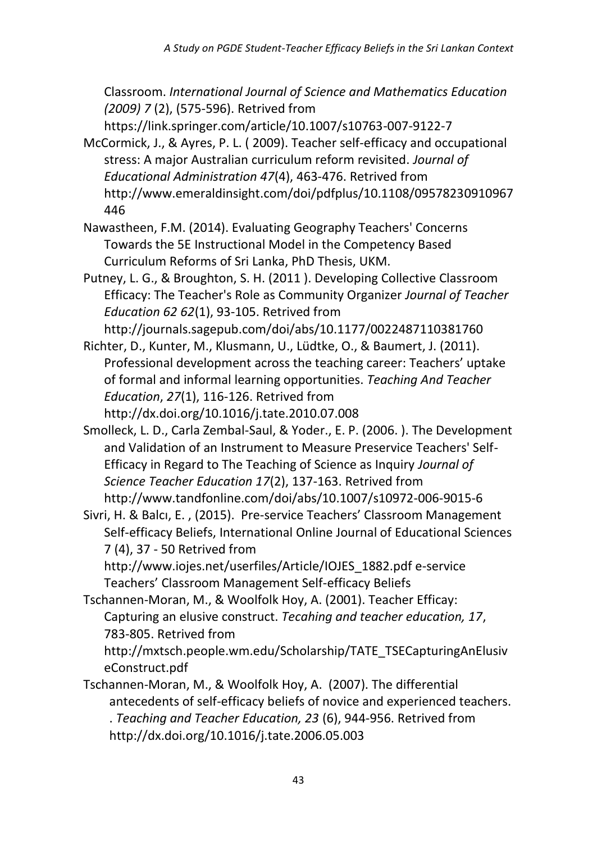Classroom. *International Journal of Science and Mathematics Education (2009) 7* (2), (575-596). Retrived from

https://link.springer.com/article/10.1007/s10763-007-9122-7

McCormick, J., & Ayres, P. L. ( 2009). Teacher self-efficacy and occupational stress: A major Australian curriculum reform revisited. *Journal of Educational Administration 47*(4), 463-476. Retrived from http://www.emeraldinsight.com/doi/pdfplus/10.1108/09578230910967 446

Nawastheen, F.M. (2014). Evaluating Geography Teachers' Concerns Towards the 5E Instructional Model in the Competency Based Curriculum Reforms of Sri Lanka, PhD Thesis, UKM.

Putney, L. G., & Broughton, S. H. (2011 ). Developing Collective Classroom Efficacy: The Teacher's Role as Community Organizer *Journal of Teacher Education 62 62*(1), 93-105. Retrived from

http://journals.sagepub.com/doi/abs/10.1177/0022487110381760

Richter, D., Kunter, M., Klusmann, U., Lüdtke, O., & Baumert, J. (2011). Professional development across the teaching career: Teachers' uptake of formal and informal learning opportunities. *Teaching And Teacher Education*, *27*(1), 116-126. Retrived from http://dx.doi.org/10.1016/j.tate.2010.07.008

Smolleck, L. D., Carla Zembal-Saul, & Yoder., E. P. (2006. ). The Development and Validation of an Instrument to Measure Preservice Teachers' Self-Efficacy in Regard to The Teaching of Science as Inquiry *Journal of Science Teacher Education 17*(2), 137-163. Retrived from http://www.tandfonline.com/doi/abs/10.1007/s10972-006-9015-6

Sivri, H. & Balcı, E. , (2015). Pre-service Teachers' Classroom Management Self-efficacy Beliefs, International Online Journal of Educational Sciences 7 (4), 37 - 50 Retrived from

http://www.iojes.net/userfiles/Article/IOJES\_1882.pdf e-service Teachers' Classroom Management Self-efficacy Beliefs

Tschannen-Moran, M., & Woolfolk Hoy, A. (2001). Teacher Efficay: Capturing an elusive construct. *Tecahing and teacher education, 17*, 783-805. Retrived from

http://mxtsch.people.wm.edu/Scholarship/TATE\_TSECapturingAnElusiv eConstruct.pdf

Tschannen-Moran, M., & Woolfolk Hoy, A. (2007). The differential antecedents of self-efficacy beliefs of novice and experienced teachers. . *Teaching and Teacher Education, 23* (6), 944-956. Retrived from http://dx.doi.org/10.1016/j.tate.2006.05.003